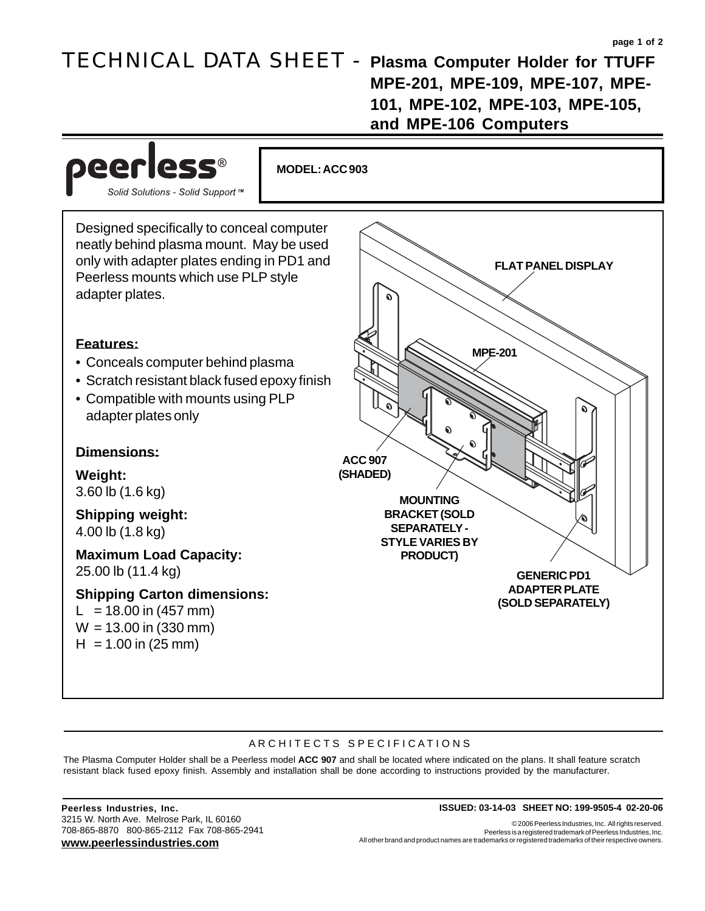## TECHNICAL DATA SHEET - **Plasma Computer Holder for TTUFF**

**MPE-201, MPE-109, MPE-107, MPE-101, MPE-102, MPE-103, MPE-105, and MPE-106 Computers**



## ARCHITECTS SPECIFICATIONS

The Plasma Computer Holder shall be a Peerless model **ACC 907** and shall be located where indicated on the plans. It shall feature scratch resistant black fused epoxy finish. Assembly and installation shall be done according to instructions provided by the manufacturer.

3215 W. North Ave. Melrose Park, IL 60160 708-865-8870 800-865-2112 Fax 708-865-2941 **www.peerlessindustries.com**

## **Peerless Industries, Inc. ISSUED: 03-14-03 SHEET NO: 199-9505-4 02-20-06**

© 2006 Peerless Industries, Inc. All rights reserved. Peerless is a registered trademark of Peerless Industries, Inc. All other brand and product names are trademarks or registered trademarks of their respective owners.